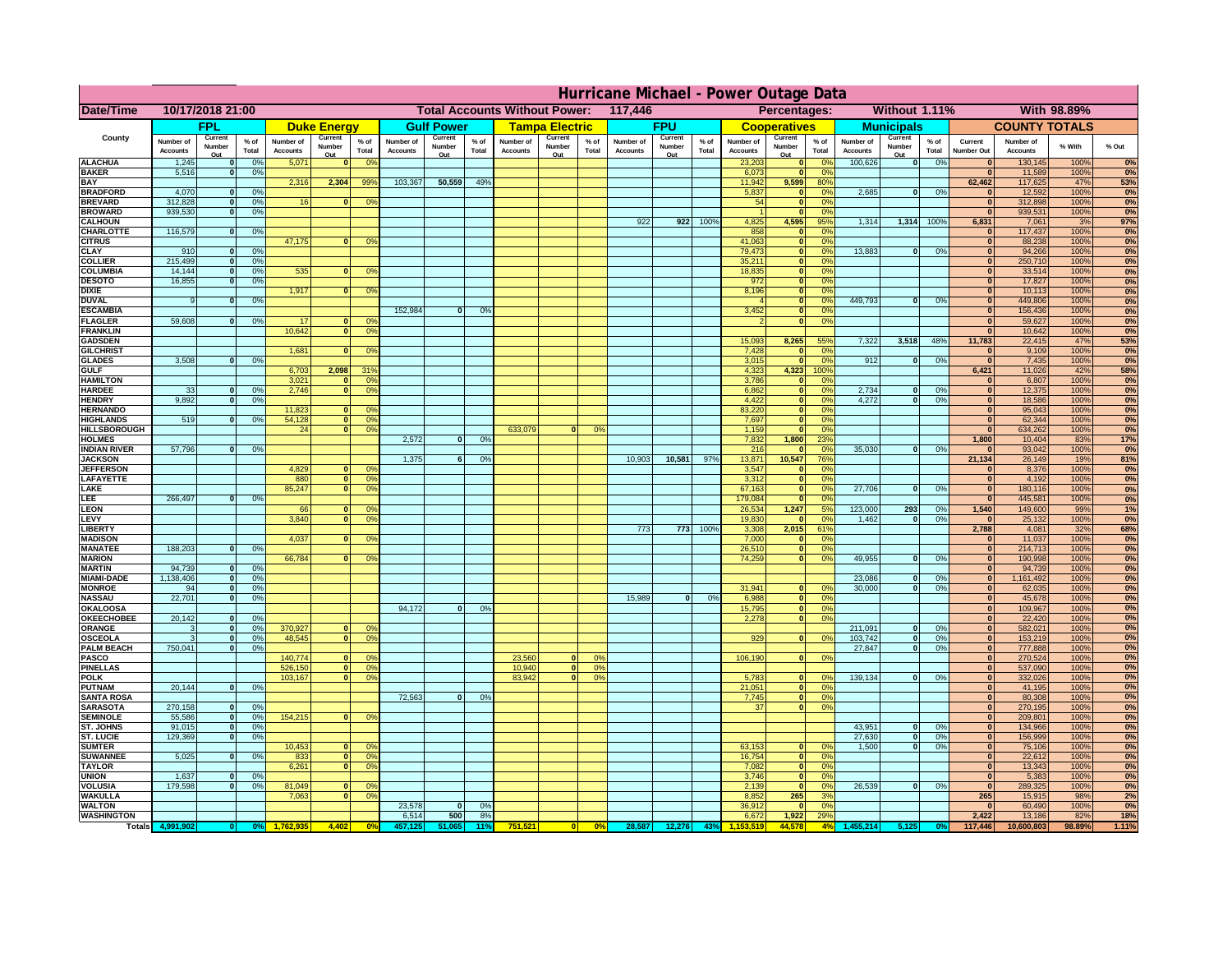|                                      | Hurricane Michael - Power Outage Data |                          |                    |                              |                          |                                         |                                                 |                          |                 |                              |                          |                               |                              |                          |                 |                              |                                  |                              |                              |                          |                 |                                  |                              |              |            |
|--------------------------------------|---------------------------------------|--------------------------|--------------------|------------------------------|--------------------------|-----------------------------------------|-------------------------------------------------|--------------------------|-----------------|------------------------------|--------------------------|-------------------------------|------------------------------|--------------------------|-----------------|------------------------------|----------------------------------|------------------------------|------------------------------|--------------------------|-----------------|----------------------------------|------------------------------|--------------|------------|
| Date/Time                            | 10/17/2018 21:00                      |                          |                    |                              |                          |                                         | <b>Total Accounts Without Power:</b><br>117,446 |                          |                 |                              |                          | Percentages:<br>Without 1.11% |                              |                          |                 |                              |                                  | With 98.89%                  |                              |                          |                 |                                  |                              |              |            |
|                                      | <b>FPL</b>                            |                          | <b>Duke Energy</b> |                              | <b>Gulf Power</b>        |                                         | <b>Tampa Electric</b>                           |                          | <b>FPU</b>      |                              |                          | <b>Cooperatives</b>           |                              | <b>Municipals</b>        |                 |                              | <b>COUNTY TOTALS</b>             |                              |                              |                          |                 |                                  |                              |              |            |
| County                               | Number of<br><b>Accounts</b>          | Current<br>Number<br>Out | $%$ of<br>Total    | Number of<br><b>Accounts</b> | Current<br>Number<br>Out | $%$ of<br>Total                         | Number of<br><b>Accounts</b>                    | Current<br>Number<br>Out | $%$ of<br>Total | Number of<br><b>Accounts</b> | Current<br>Number<br>Out | % of<br>Total                 | Number of<br><b>Accounts</b> | Current<br>Number<br>Out | $%$ of<br>Total | Number of<br><b>Accounts</b> | Current<br>Number<br>Out         | $%$ of<br>Total              | Number of<br><b>Accounts</b> | Current<br>Number<br>Out | $%$ of<br>Total | Current<br><b>Number Out</b>     | Number of<br><b>Accounts</b> | % With       | % Out      |
| <b>ALACHUA</b>                       | 1,245                                 | $\mathbf 0$              | 0%                 | 5,071                        |                          | 0 <sup>o</sup>                          |                                                 |                          |                 |                              |                          |                               |                              |                          |                 | 23,203                       |                                  | 0%                           | 100,626                      | 0                        | 0%              |                                  | 130,145                      | 100%         | 0%         |
| <b>BAKER</b><br><b>BAY</b>           | 5,516                                 | $\mathbf 0$              | 0%                 |                              | 2,304                    |                                         | 103,367                                         | 50,559                   | 49%             |                              |                          |                               |                              |                          |                 | 6,073                        |                                  | 0%                           |                              |                          |                 | $\mathbf{0}$<br>62,462           | 11,589                       | 100%<br>47%  | 0%         |
| <b>BRADFORD</b>                      | 4,070                                 | $\mathbf{0}$             | 0%                 | 2,316                        |                          | 99%                                     |                                                 |                          |                 |                              |                          |                               |                              |                          |                 | 11,942<br>5,837              | 9,599<br>$\mathbf{0}$            | 80%<br>$\Omega$ <sup>c</sup> | 2,685                        | 0                        | 0%              |                                  | 117,625<br>12,592            | 100%         | 53%<br>0%  |
| <b>BREVARD</b>                       | 312,828                               | $\mathbf{0}$             | 0%                 | 16                           |                          | 0 <sup>9</sup>                          |                                                 |                          |                 |                              |                          |                               |                              |                          |                 | 54                           | $\mathbf{0}$                     | 0 <sup>9</sup>               |                              |                          |                 | $\mathbf{0}$                     | 312,898                      | 100%         | 0%         |
| <b>BROWARD</b>                       | 939,530                               | $\mathbf{0}$             | 0%                 |                              |                          |                                         |                                                 |                          |                 |                              |                          |                               |                              |                          |                 |                              | $\sqrt{2}$                       | 0 <sup>9</sup>               |                              |                          |                 | $\Omega$                         | 939,531                      | 100%         | 0%         |
| <b>CALHOUN</b><br><b>CHARLOTTE</b>   | 116,579                               | $\Omega$                 | 0%                 |                              |                          |                                         |                                                 |                          |                 |                              |                          |                               | 922                          | 922                      | 100%            | 4,825<br>858                 | 4,595<br>$\Omega$                | 95%<br>0 <sup>9</sup>        | 1,314                        | 1,314                    | 100%            | 6,831<br>$\bf{0}$                | 7,061<br>117,437             | 3%<br>100%   | 97%<br>0%  |
| <b>CITRUS</b>                        |                                       |                          |                    | 47,175                       | $\Omega$                 | 0 <sup>9</sup>                          |                                                 |                          |                 |                              |                          |                               |                              |                          |                 | 41,063                       | $\mathbf{0}$                     | 0 <sup>9</sup>               |                              |                          |                 | $\mathbf{0}$                     | 88,238                       | 100%         | 0%         |
| <b>CLAY</b>                          | 910                                   | $\mathbf{o}$             | 0%                 |                              |                          |                                         |                                                 |                          |                 |                              |                          |                               |                              |                          |                 | 79,473                       | $\mathbf{0}$                     | 0%                           | 13,883                       | 0                        | 0%              | $\mathbf{0}$                     | 94,266                       | 100%         | 0%         |
| <b>COLLIER</b>                       | 215,499<br>14,144                     | 0                        | 0%                 | 535                          |                          |                                         |                                                 |                          |                 |                              |                          |                               |                              |                          |                 | 35,211<br>18,835             | $\mathbf{0}$<br>$\mathbf{0}$     | 0%<br>0%                     |                              |                          |                 | $\mathbf{0}$<br>$\bf{0}$         | 250,710<br>33,514            | 100%<br>100% | 0%         |
| <b>COLUMBIA</b><br><b>DESOTO</b>     | 16,855                                | $\mathbf{o}$<br>$\Omega$ | 0%<br>0%           |                              |                          | 0 <sup>9</sup>                          |                                                 |                          |                 |                              |                          |                               |                              |                          |                 | 972                          | $\mathbf{0}$                     | 0%                           |                              |                          |                 | $\overline{0}$                   | 17,827                       | 100%         | 0%<br>0%   |
| <b>DIXIE</b>                         |                                       |                          |                    | 1,917                        | $\Omega$                 | 0 <sup>9</sup>                          |                                                 |                          |                 |                              |                          |                               |                              |                          |                 | 8,196                        | $\overline{\phantom{a}}$         | 0%                           |                              |                          |                 | $\overline{0}$                   | 10,113                       | 100%         | 0%         |
| <b>DUVAL</b>                         | 9                                     | $\Omega$                 | 0%                 |                              |                          |                                         |                                                 |                          |                 |                              |                          |                               |                              |                          |                 |                              | $\overline{\mathbf{0}}$          | 0%                           | 449.793                      | $\overline{0}$           | 0%              | $\overline{0}$                   | 449,806                      | 100%         | 0%         |
| <b>ESCAMBIA</b><br><b>FLAGLER</b>    | 59.608                                | $\Omega$                 | 0%                 | 17                           |                          | $\mathbf{0}$<br>0 <sup>9</sup>          | 152.984                                         | $\Omega$                 | O <sup>o</sup>  |                              |                          |                               |                              |                          |                 | 3,452                        | ō<br>$\overline{\mathbf{0}}$     | 0%<br>0%                     |                              |                          |                 | $\overline{0}$<br>$\overline{0}$ | 156,436<br>59,627            | 100%<br>100% | 0%<br>0%   |
| <b>FRANKLIN</b>                      |                                       |                          |                    | 10.642                       |                          | $\overline{0}$<br>0 <sup>9</sup>        |                                                 |                          |                 |                              |                          |                               |                              |                          |                 |                              |                                  |                              |                              |                          |                 | $\overline{0}$                   | 10,642                       | 100%         | 0%         |
| <b>GADSDEN</b>                       |                                       |                          |                    |                              |                          |                                         |                                                 |                          |                 |                              |                          |                               |                              |                          |                 | 15.093                       | 8,265                            | 55%                          | 7.322                        | 3.518                    | 48%             | 11,783                           | 22,415                       | 47%          | <b>53%</b> |
| <b>GILCHRIST</b>                     |                                       |                          |                    | 1,681                        |                          | 0 <sup>9</sup>                          |                                                 |                          |                 |                              |                          |                               |                              |                          |                 | 7,428                        |                                  | 0 <sup>9</sup>               |                              |                          |                 | $\Omega$                         | 9,109                        | 100%         | 0%         |
| <b>GLADES</b><br><b>GULF</b>         | 3,508                                 | $\mathbf{0}$             | 0%                 | 6,703                        | 2,098                    | 319                                     |                                                 |                          |                 |                              |                          |                               |                              |                          |                 | 3,015<br>4,323               | $\mathbf{r}$<br>4,323            | 0 <sup>9</sup><br>100%       | 912                          | $\bf{0}$                 | 0%              | $\mathbf{0}$<br>6,421            | 7,435<br>11,026              | 100%<br>42%  | 0%<br>58%  |
| <b>HAMILTON</b>                      |                                       |                          |                    | 3,021                        | $\mathbf{0}$             | 0 <sup>9</sup>                          |                                                 |                          |                 |                              |                          |                               |                              |                          |                 | 3,786                        | $\mathbf{0}$                     | 0%                           |                              |                          |                 | $\mathbf{0}$                     | 6,807                        | 100%         | 0%         |
| <b>HARDEE</b>                        | 33                                    | $\bf{0}$                 | 0%                 | 2,746                        |                          | $\overline{0}$<br>0 <sup>9</sup>        |                                                 |                          |                 |                              |                          |                               |                              |                          |                 | 6,862                        | $\mathbf{0}$                     | 0%                           | 2,734                        | $\mathbf{0}$             | 0%              | $\overline{0}$                   | 12,375                       | 100%         | 0%         |
| <b>HENDRY</b>                        | 9.892                                 | 0                        | 0%                 |                              |                          |                                         |                                                 |                          |                 |                              |                          |                               |                              |                          |                 | 4,422                        | $\overline{\phantom{a}}$         | 0%                           | 4.272                        | $\overline{0}$           | 0%              | $\overline{0}$                   | 18,586                       | 100%         | 0%         |
| <b>HERNANDO</b><br><b>HIGHLANDS</b>  | 519                                   | $\Omega$                 | 0%                 | 11,823<br>54,128             | $\bf{0}$                 | 0 <sup>9</sup><br> 0 <br>0 <sup>9</sup> |                                                 |                          |                 |                              |                          |                               |                              |                          |                 | 83,220<br>7,697              | $\overline{0}$<br>$\overline{0}$ | 0%<br>0%                     |                              |                          |                 | $\overline{0}$<br>$\bf{0}$       | 95,043<br>62,344             | 100%<br>100% | 0%<br>0%   |
| <b>HILLSBOROUGH</b>                  |                                       |                          |                    | 24                           | 0                        | 0%                                      |                                                 |                          |                 | 633,079                      | nl                       | 0 <sup>o</sup>                |                              |                          |                 | 1,159                        | $\mathbf{0}$                     | 0%                           |                              |                          |                 | $\mathbf{0}$                     | 634,262                      | 100%         | 0%         |
| <b>HOLMES</b>                        |                                       |                          |                    |                              |                          |                                         | 2,572                                           | $\bf{0}$                 | 0%              |                              |                          |                               |                              |                          |                 | 7,832                        | 1,800                            | 23%                          |                              |                          |                 | 1,800                            | 10,404                       | 83%          | 17%        |
| <b>INDIAN RIVER</b>                  | 57,796                                | $\Omega$                 | 0%                 |                              |                          |                                         |                                                 |                          |                 |                              |                          |                               |                              |                          |                 | 216                          |                                  | 0%                           | 35,030                       | $\Omega$                 | 0%              | $\bf{0}$                         | 93,042                       | 100%         | 0%         |
| <b>JACKSON</b><br><b>JEFFERSON</b>   |                                       |                          |                    | 4,829                        | $\mathbf{0}$             | 0 <sup>9</sup>                          | 1,375                                           | 6                        | 0 <sup>9</sup>  |                              |                          |                               | 10,903                       | 10,581                   | 97%             | 13,871<br>3,547              | 10,547                           | 76%<br>0 <sup>9</sup>        |                              |                          |                 | 21,134<br>$\mathbf{0}$           | 26,149<br>8,376              | 19%<br>100%  | 81%<br>0%  |
| LAFAYETTE                            |                                       |                          |                    | 880                          |                          | 0 <br>0 <sup>9</sup>                    |                                                 |                          |                 |                              |                          |                               |                              |                          |                 | 3,312                        |                                  | 0 <sup>9</sup>               |                              |                          |                 | $\mathbf{0}$                     | 4,192                        | 100%         | 0%         |
| LAKE                                 |                                       |                          |                    | 85,247                       | $\Omega$                 | 0 <sup>9</sup>                          |                                                 |                          |                 |                              |                          |                               |                              |                          |                 | 67,163                       | $\mathbf{0}$                     | 0 <sup>9</sup>               | 27,706                       | $\Omega$                 | 0%              | $\mathbf{0}$                     | 180,116                      | 100%         | 0%         |
| LEE                                  | 266,497                               | $\Omega$                 | 0%                 |                              |                          |                                         |                                                 |                          |                 |                              |                          |                               |                              |                          |                 | 179,084                      | $\Omega$                         | 0 <sup>9</sup>               |                              |                          |                 | $\mathbf{0}$                     | 445,581                      | 100%         | 0%         |
| <b>LEON</b><br>LEVY                  |                                       |                          |                    | 66<br>3,840                  | $\Omega$                 | $^{\circ}$<br>0 <sup>9</sup>            |                                                 |                          |                 |                              |                          |                               |                              |                          |                 | 26,534<br>19,830             | 1,247                            | 5%<br>0 <sup>9</sup>         | 123,000<br>1,462             | 293<br>$\Omega$          | 0%<br>0%        | 1,540<br>$\Omega$                | 149,600<br>25,132            | 99%<br>100%  | 1%<br>0%   |
| <b>LIBERTY</b>                       |                                       |                          |                    |                              |                          |                                         |                                                 |                          |                 |                              |                          |                               | 773                          | 773                      | 100%            | 3,308                        | 2,015                            | 61%                          |                              |                          |                 | 2,788                            | 4,081                        | 32%          | 68%        |
| <b>MADISON</b>                       |                                       |                          |                    | 4,037                        |                          | 0 <sup>9</sup>                          |                                                 |                          |                 |                              |                          |                               |                              |                          |                 | 7,000                        |                                  | 0%                           |                              |                          |                 | $\bf{0}$                         | 11,037                       | 100%         | 0%         |
| <b>MANATEE</b>                       | 188,203                               | 0                        | 0%                 |                              |                          |                                         |                                                 |                          |                 |                              |                          |                               |                              |                          |                 | 26,510                       | $\mathbf{0}$                     | 0%                           |                              |                          |                 | $\bf{0}$                         | 214,713                      | 100%         | 0%         |
| <b>MARION</b><br><b>MARTIN</b>       | 94,739                                | 0                        | 0%                 | 66,784                       |                          | 0 <sup>9</sup>                          |                                                 |                          |                 |                              |                          |                               |                              |                          |                 | 74,259                       | $\mathbf{0}$                     | 0 <sup>9</sup>               | 49,955                       | $\Omega$                 | 0%              | 0 <br> 0                         | 190,998<br>94,739            | 100%<br>100% | 0%<br>0%   |
| <b>MIAMI-DADE</b>                    | 1,138,406                             | 0                        | 0%                 |                              |                          |                                         |                                                 |                          |                 |                              |                          |                               |                              |                          |                 |                              |                                  |                              | 23,086                       | 0                        | 0%              | 0                                | 1,161,492                    | 100%         | 0%         |
| <b>MONROE</b>                        | 94                                    | 0                        | 0%                 |                              |                          |                                         |                                                 |                          |                 |                              |                          |                               |                              |                          |                 | 31,941                       | $\mathbf{0}$                     | $\Omega$ <sup>o</sup>        | 30,000                       | $\Omega$                 | 0%              | 0                                | 62,035                       | 100%         | 0%         |
| <b>NASSAU</b><br><b>OKALOOSA</b>     | 22,701                                | 0                        | 0%                 |                              |                          |                                         | 94,172                                          | $\mathbf{0}$             | 0%              |                              |                          |                               | 15,989                       | 0                        | 0%              | 6,988                        | 0                                | 0%<br>0%                     |                              |                          |                 | $\mathbf{0}$<br>$\mathbf{0}$     | 45,678                       | 100%<br>100% | 0%<br>0%   |
| <b>OKEECHOBEE</b>                    | 20,142                                | $\Omega$                 | 0%                 |                              |                          |                                         |                                                 |                          |                 |                              |                          |                               |                              |                          |                 | 15,795<br>2,278              | 0 <br> 0                         | 0%                           |                              |                          |                 | $\mathbf{0}$                     | 109,967<br>22,420            | 100%         | 0%         |
| <b>ORANGE</b>                        |                                       | 0                        | 0%                 | 370,927                      | $\mathbf{0}$             | 0 <sup>o</sup>                          |                                                 |                          |                 |                              |                          |                               |                              |                          |                 |                              |                                  |                              | 211,091                      | $\mathbf{0}$             | 0%              | $\mathbf{0}$                     | 582,021                      | 100%         | 0%         |
| <b>OSCEOLA</b>                       | 3                                     | 0                        | 0%                 | 48,545                       | $\Omega$                 | 0 <sup>9</sup>                          |                                                 |                          |                 |                              |                          |                               |                              |                          |                 | 929                          | ol                               | 0 <sup>9</sup>               | 103,742                      | $\mathbf{0}$             | 0%              | 0                                | 153,219                      | 100%         | 0%         |
| <b>PALM BEACH</b><br>PASCO           | 750,041                               | 0                        | 0%                 | 140,774                      | $\Omega$                 | 0 <sup>9</sup>                          |                                                 |                          |                 | 23,560                       | $\mathbf{0}$             | 0 <sup>9</sup>                |                              |                          |                 | 106,190                      | 0                                | 0 <sup>9</sup>               | 27,847                       | $\Omega$                 | 0%              | $\mathbf{0}$<br>$\Omega$         | 777,888<br>270,524           | 100%<br>100% | 0%<br>0%   |
| <b>PINELLAS</b>                      |                                       |                          |                    | 526,150                      |                          | 0 <sup>9</sup><br> 0                    |                                                 |                          |                 | 10,940                       | 0                        | 0%                            |                              |                          |                 |                              |                                  |                              |                              |                          |                 | $\mathbf{0}$                     | 537,090                      | 100%         | 0%         |
| <b>POLK</b>                          |                                       |                          |                    | 103,167                      | $\mathbf{0}$             | 0 <sup>9</sup>                          |                                                 |                          |                 | 83,942                       | $\overline{0}$           | 0%                            |                              |                          |                 | 5,783                        | $\mathbf{0}$                     | 0 <sup>9</sup>               | 139,134                      | 0                        | 0%              | $\mathbf{0}$                     | 332,026                      | 100%         | 0%         |
| <b>PUTNAM</b>                        | 20,144                                | 0                        | 0%                 |                              |                          |                                         |                                                 |                          |                 |                              |                          |                               |                              |                          |                 | 21,051                       | $\mathbf{0}$                     | 0 <sup>9</sup>               |                              |                          |                 | $\mathbf{0}$                     | 41,195                       | 100%         | 0%         |
| <b>SANTA ROSA</b><br><b>SARASOTA</b> | 270,158                               | 0                        | 0%                 |                              |                          |                                         | 72,563                                          | 0                        | 0%              |                              |                          |                               |                              |                          |                 | 7,745<br>37                  | $\mathbf{0}$<br>$\overline{0}$   | 0%<br>0%                     |                              |                          |                 | $\mathbf{0}$<br>$\mathbf{0}$     | 80,308<br>270,195            | 100%<br>100% | 0%<br>0%   |
| <b>SEMINOLE</b>                      | 55,586                                | 0                        | 0%                 | 154,215                      |                          | 0 <sup>9</sup><br>$\mathbf{0}$          |                                                 |                          |                 |                              |                          |                               |                              |                          |                 |                              |                                  |                              |                              |                          |                 | $\mathbf{0}$                     | 209.801                      | 100%         | 0%         |
| ST. JOHNS                            | 91,015                                | 0                        | 0%                 |                              |                          |                                         |                                                 |                          |                 |                              |                          |                               |                              |                          |                 |                              |                                  |                              | 43.951                       | $\mathbf{0}$             | 0%              | $\mathbf{0}$                     | 134,966                      | 100%         | 0%         |
| <b>ST. LUCIE</b>                     | 129.369                               | $\mathbf{0}$             | 0%                 |                              |                          |                                         |                                                 |                          |                 |                              |                          |                               |                              |                          |                 |                              |                                  | $\Omega$ <sup>c</sup>        | 27.630                       | $\overline{0}$           | 0%              | $\mathbf{0}$                     | 156.999                      | 100%         | 0%         |
| <b>SUMTER</b><br><b>SUWANNEE</b>     | 5,025                                 | $\Omega$                 | 0%                 | 10,453<br>833                | $\mathbf{0}$             | 0 <sup>9</sup><br> 0 <br>0 <sup>9</sup> |                                                 |                          |                 |                              |                          |                               |                              |                          |                 | 63,153<br>16,754             | $\mathbf{0}$<br>$\mathbf{0}$     | 0 <sup>9</sup>               | 1,500                        | 0                        | 0%              | $\mathbf{0}$<br>$\mathbf{0}$     | 75,106<br>22,612             | 100%<br>100% | 0%<br>0%   |
| <b>TAYLOR</b>                        |                                       |                          |                    | 6,261                        |                          | 0 <br>0 <sup>9</sup>                    |                                                 |                          |                 |                              |                          |                               |                              |                          |                 | 7,082                        | $\mathbf{0}$                     | 0%                           |                              |                          |                 | $\mathbf{0}$                     | 13,343                       | 100%         | 0%         |
| <b>UNION</b>                         | 1,637                                 | $\mathbf{0}$             | 0%                 |                              |                          |                                         |                                                 |                          |                 |                              |                          |                               |                              |                          |                 | 3,746                        | $\mathbf{0}$                     | 0 <sup>9</sup>               |                              |                          |                 | $\mathbf{0}$                     | 5,383                        | 100%         | 0%         |
| <b>VOLUSIA</b><br><b>WAKULLA</b>     | 179,598                               | $\mathbf{0}$             | 0%                 | 81,049<br>7,063              |                          | 0 <sup>9</sup><br>0 <sup>9</sup>        |                                                 |                          |                 |                              |                          |                               |                              |                          |                 | 2,139                        | $\mathbf{0}$                     | 0 <sup>9</sup><br>3%         | 26,539                       | 0                        | 0%              | $\mathbf{0}$<br>265              | 289,325                      | 100%<br>98%  | 0%<br>2%   |
| <b>WALTON</b>                        |                                       |                          |                    |                              |                          |                                         | 23,578                                          | $\mathbf{0}$             | 0%              |                              |                          |                               |                              |                          |                 | 8,852<br>36,912              | 265<br>$\mathbf{0}$              | 0 <sup>9</sup>               |                              |                          |                 | $\mathbf{0}$                     | 15,915<br>60,490             | 100%         | 0%         |
| <b>WASHINGTON</b>                    |                                       |                          |                    |                              |                          |                                         | 6,514                                           | 500                      | 8%              |                              |                          |                               |                              |                          |                 | 6,672                        | 1,922                            | 29%                          |                              |                          |                 | 2,422                            | 13,186                       | 82%          | 18%        |
| <b>Totals</b>                        |                                       |                          |                    |                              | 4,402                    |                                         |                                                 |                          | 11°             | 751,52                       |                          | 0%                            | 28,587                       | 12,276                   | 43              |                              | 44.578                           | 4%                           |                              |                          |                 | 117,446                          | 10,600,803                   | 98.89%       | 1.11%      |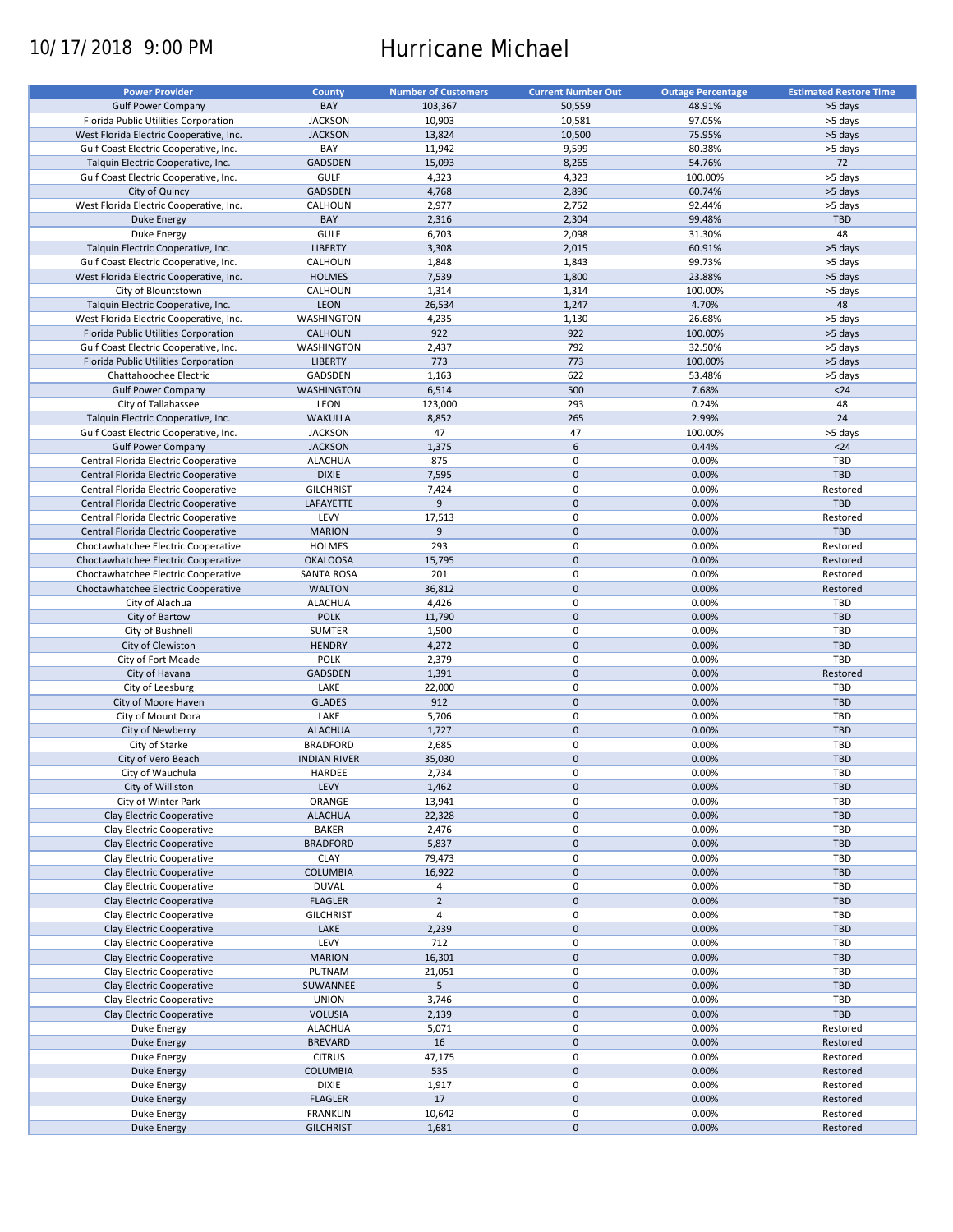# 10/17/2018 9:00 PM Hurricane Michael

| <b>Power Provider</b>                   | <b>County</b>       | <b>Number of Customers</b> | <b>Current Number Out</b> | <b>Outage Percentage</b> | <b>Estimated Restore Time</b> |
|-----------------------------------------|---------------------|----------------------------|---------------------------|--------------------------|-------------------------------|
|                                         |                     |                            |                           |                          |                               |
| <b>Gulf Power Company</b>               | BAY                 | 103,367                    | 50,559                    | 48.91%                   | >5 days                       |
| Florida Public Utilities Corporation    | <b>JACKSON</b>      | 10,903                     | 10,581                    | 97.05%                   | >5 days                       |
| West Florida Electric Cooperative, Inc. | <b>JACKSON</b>      | 13,824                     | 10,500                    | 75.95%                   | >5 days                       |
| Gulf Coast Electric Cooperative, Inc.   | BAY                 | 11,942                     | 9,599                     | 80.38%                   | >5 days                       |
| Talquin Electric Cooperative, Inc.      | GADSDEN             | 15,093                     | 8,265                     | 54.76%                   | 72                            |
| Gulf Coast Electric Cooperative, Inc.   | <b>GULF</b>         | 4,323                      | 4,323                     | 100.00%                  | >5 days                       |
| City of Quincy                          | <b>GADSDEN</b>      | 4,768                      | 2,896                     | 60.74%                   | >5 days                       |
|                                         |                     |                            |                           |                          |                               |
| West Florida Electric Cooperative, Inc. | CALHOUN             | 2,977                      | 2,752                     | 92.44%                   | >5 days                       |
| <b>Duke Energy</b>                      | BAY                 | 2,316                      | 2,304                     | 99.48%                   | <b>TBD</b>                    |
| Duke Energy                             | <b>GULF</b>         | 6,703                      | 2,098                     | 31.30%                   | 48                            |
| Talquin Electric Cooperative, Inc.      | <b>LIBERTY</b>      | 3,308                      | 2,015                     | 60.91%                   | >5 days                       |
| Gulf Coast Electric Cooperative, Inc.   | CALHOUN             | 1,848                      | 1,843                     | 99.73%                   | >5 days                       |
| West Florida Electric Cooperative, Inc. | <b>HOLMES</b>       | 7,539                      | 1,800                     | 23.88%                   | >5 days                       |
| City of Blountstown                     | CALHOUN             | 1,314                      | 1,314                     | 100.00%                  | >5 days                       |
|                                         |                     |                            |                           |                          |                               |
| Talquin Electric Cooperative, Inc.      | <b>LEON</b>         | 26,534                     | 1,247                     | 4.70%                    | 48                            |
| West Florida Electric Cooperative, Inc. | WASHINGTON          | 4,235                      | 1,130                     | 26.68%                   | >5 days                       |
| Florida Public Utilities Corporation    | <b>CALHOUN</b>      | 922                        | 922                       | 100.00%                  | >5 days                       |
| Gulf Coast Electric Cooperative, Inc.   | WASHINGTON          | 2,437                      | 792                       | 32.50%                   | >5 days                       |
| Florida Public Utilities Corporation    | <b>LIBERTY</b>      | 773                        | 773                       | 100.00%                  | >5 days                       |
| Chattahoochee Electric                  | GADSDEN             | 1,163                      | 622                       | 53.48%                   | >5 days                       |
| <b>Gulf Power Company</b>               | <b>WASHINGTON</b>   | 6,514                      | 500                       | 7.68%                    | $24$                          |
|                                         |                     |                            |                           |                          |                               |
| City of Tallahassee                     | LEON                | 123,000                    | 293                       | 0.24%                    | 48                            |
| Talquin Electric Cooperative, Inc.      | <b>WAKULLA</b>      | 8,852                      | 265                       | 2.99%                    | 24                            |
| Gulf Coast Electric Cooperative, Inc.   | <b>JACKSON</b>      | 47                         | 47                        | 100.00%                  | >5 days                       |
| <b>Gulf Power Company</b>               | <b>JACKSON</b>      | 1,375                      | 6                         | 0.44%                    | $<24$                         |
| Central Florida Electric Cooperative    | <b>ALACHUA</b>      | 875                        | $\mathbf 0$               | 0.00%                    | TBD                           |
| Central Florida Electric Cooperative    | <b>DIXIE</b>        | 7,595                      | $\mathbf 0$               | 0.00%                    | <b>TBD</b>                    |
| Central Florida Electric Cooperative    | <b>GILCHRIST</b>    | 7,424                      | 0                         | 0.00%                    | Restored                      |
|                                         |                     |                            |                           |                          |                               |
| Central Florida Electric Cooperative    | LAFAYETTE           | 9                          | $\mathbf 0$               | 0.00%                    | <b>TBD</b>                    |
| Central Florida Electric Cooperative    | LEVY                | 17,513                     | 0                         | 0.00%                    | Restored                      |
| Central Florida Electric Cooperative    | <b>MARION</b>       | 9                          | $\mathbf 0$               | 0.00%                    | <b>TBD</b>                    |
| Choctawhatchee Electric Cooperative     | <b>HOLMES</b>       | 293                        | 0                         | 0.00%                    | Restored                      |
| Choctawhatchee Electric Cooperative     | <b>OKALOOSA</b>     | 15,795                     | $\mathbf 0$               | 0.00%                    | Restored                      |
| Choctawhatchee Electric Cooperative     | <b>SANTA ROSA</b>   | 201                        | 0                         | 0.00%                    | Restored                      |
| Choctawhatchee Electric Cooperative     | <b>WALTON</b>       | 36,812                     | $\mathbf 0$               | 0.00%                    | Restored                      |
|                                         | <b>ALACHUA</b>      |                            | 0                         | 0.00%                    | TBD                           |
| City of Alachua                         |                     | 4,426                      |                           |                          |                               |
| City of Bartow                          | <b>POLK</b>         | 11,790                     | $\mathbf 0$               | 0.00%                    | <b>TBD</b>                    |
| City of Bushnell                        | <b>SUMTER</b>       | 1,500                      | 0                         | 0.00%                    | TBD                           |
| City of Clewiston                       | <b>HENDRY</b>       | 4,272                      | $\mathbf 0$               | 0.00%                    | <b>TBD</b>                    |
| City of Fort Meade                      | POLK                | 2,379                      | 0                         | 0.00%                    | TBD                           |
| City of Havana                          | <b>GADSDEN</b>      | 1,391                      | $\mathbf 0$               | 0.00%                    | Restored                      |
| City of Leesburg                        | LAKE                | 22,000                     | 0                         | 0.00%                    | TBD                           |
| City of Moore Haven                     | <b>GLADES</b>       | 912                        | $\mathbf 0$               | 0.00%                    | <b>TBD</b>                    |
|                                         |                     |                            |                           |                          |                               |
| City of Mount Dora                      | LAKE                | 5,706                      | 0                         | 0.00%                    | TBD                           |
| City of Newberry                        | <b>ALACHUA</b>      | 1,727                      | $\mathbf 0$               | 0.00%                    | <b>TBD</b>                    |
| City of Starke                          | <b>BRADFORD</b>     | 2,685                      | 0                         | 0.00%                    | <b>TBD</b>                    |
| City of Vero Beach                      | <b>INDIAN RIVER</b> | 35,030                     | $\mathbf 0$               | 0.00%                    | <b>TBD</b>                    |
| City of Wauchula                        | HARDEE              | 2,734                      | $\mathbf 0$               | 0.00%                    | TBD                           |
| City of Williston                       | LEVY                | 1,462                      | $\pmb{0}$                 | 0.00%                    | TBD                           |
| City of Winter Park                     |                     |                            | 0                         |                          | TBD                           |
|                                         | ORANGE              | 13,941                     |                           | 0.00%                    |                               |
| Clay Electric Cooperative               | <b>ALACHUA</b>      | 22,328                     | $\pmb{0}$                 | 0.00%                    | <b>TBD</b>                    |
| Clay Electric Cooperative               | BAKER               | 2,476                      | 0                         | 0.00%                    | TBD                           |
| Clay Electric Cooperative               | <b>BRADFORD</b>     | 5,837                      | $\mathsf{O}\xspace$       | 0.00%                    | TBD                           |
| Clay Electric Cooperative               | <b>CLAY</b>         | 79,473                     | 0                         | 0.00%                    | TBD                           |
| Clay Electric Cooperative               | <b>COLUMBIA</b>     | 16,922                     | $\mathsf{O}\xspace$       | 0.00%                    | TBD                           |
| Clay Electric Cooperative               | <b>DUVAL</b>        | 4                          | 0                         | 0.00%                    | TBD                           |
| Clay Electric Cooperative               | <b>FLAGLER</b>      | $\overline{2}$             | $\mathsf{O}\xspace$       | 0.00%                    | <b>TBD</b>                    |
|                                         |                     | $\overline{4}$             | 0                         | 0.00%                    | TBD                           |
| Clay Electric Cooperative               | <b>GILCHRIST</b>    |                            |                           |                          |                               |
| Clay Electric Cooperative               | LAKE                | 2,239                      | $\pmb{0}$                 | 0.00%                    | <b>TBD</b>                    |
| Clay Electric Cooperative               | LEVY                | 712                        | 0                         | 0.00%                    | TBD                           |
| Clay Electric Cooperative               | <b>MARION</b>       | 16,301                     | $\mathsf{O}\xspace$       | 0.00%                    | <b>TBD</b>                    |
| Clay Electric Cooperative               | PUTNAM              | 21,051                     | $\pmb{0}$                 | 0.00%                    | TBD                           |
| Clay Electric Cooperative               | SUWANNEE            | 5                          | $\pmb{0}$                 | 0.00%                    | <b>TBD</b>                    |
| Clay Electric Cooperative               | <b>UNION</b>        | 3,746                      | 0                         | 0.00%                    | TBD                           |
|                                         |                     |                            | $\pmb{0}$                 |                          |                               |
| Clay Electric Cooperative               | <b>VOLUSIA</b>      | 2,139                      |                           | 0.00%                    | TBD                           |
| Duke Energy                             | <b>ALACHUA</b>      | 5,071                      | $\pmb{0}$                 | 0.00%                    | Restored                      |
| Duke Energy                             | <b>BREVARD</b>      | 16                         | $\pmb{0}$                 | 0.00%                    | Restored                      |
| Duke Energy                             | <b>CITRUS</b>       | 47,175                     | 0                         | 0.00%                    | Restored                      |
| <b>Duke Energy</b>                      | <b>COLUMBIA</b>     | 535                        | $\mathsf{O}\xspace$       | 0.00%                    | Restored                      |
| Duke Energy                             | <b>DIXIE</b>        | 1,917                      | 0                         | 0.00%                    | Restored                      |
| <b>Duke Energy</b>                      | <b>FLAGLER</b>      | 17                         | $\pmb{0}$                 | 0.00%                    | Restored                      |
| Duke Energy                             | <b>FRANKLIN</b>     | 10,642                     | 0                         | 0.00%                    | Restored                      |
|                                         |                     |                            |                           |                          |                               |
| <b>Duke Energy</b>                      | <b>GILCHRIST</b>    | 1,681                      | $\pmb{0}$                 | 0.00%                    | Restored                      |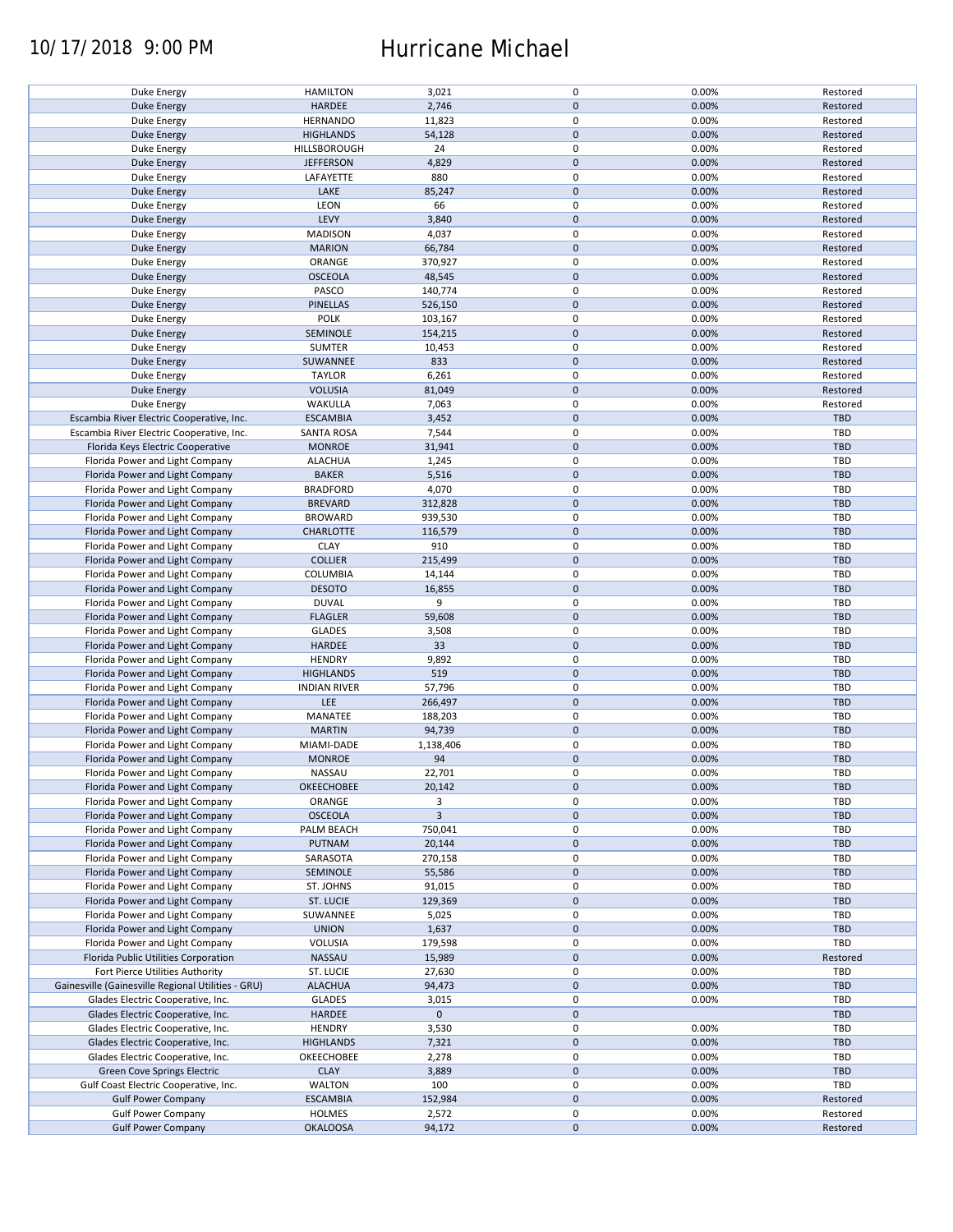## 10/17/2018 9:00 PM Hurricane Michael

| Duke Energy                                        | <b>HAMILTON</b>     | 3,021          | 0           | 0.00% | Restored   |
|----------------------------------------------------|---------------------|----------------|-------------|-------|------------|
| <b>Duke Energy</b>                                 | HARDEE              | 2,746          | $\pmb{0}$   | 0.00% | Restored   |
| Duke Energy                                        |                     |                | 0           |       |            |
|                                                    | <b>HERNANDO</b>     | 11,823         |             | 0.00% | Restored   |
| <b>Duke Energy</b>                                 | <b>HIGHLANDS</b>    | 54,128         | $\mathbf 0$ | 0.00% | Restored   |
| Duke Energy                                        | HILLSBOROUGH        | 24             | 0           | 0.00% | Restored   |
|                                                    |                     |                |             |       |            |
| <b>Duke Energy</b>                                 | <b>JEFFERSON</b>    | 4,829          | $\mathbf 0$ | 0.00% | Restored   |
| Duke Energy                                        | LAFAYETTE           | 880            | 0           | 0.00% | Restored   |
| <b>Duke Energy</b>                                 | LAKE                | 85,247         | $\mathbf 0$ | 0.00% | Restored   |
|                                                    |                     |                |             |       |            |
| Duke Energy                                        | LEON                | 66             | 0           | 0.00% | Restored   |
| <b>Duke Energy</b>                                 | LEVY                | 3,840          | $\mathbf 0$ | 0.00% | Restored   |
|                                                    |                     |                |             |       |            |
| Duke Energy                                        | <b>MADISON</b>      | 4,037          | 0           | 0.00% | Restored   |
| <b>Duke Energy</b>                                 | <b>MARION</b>       | 66,784         | $\pmb{0}$   | 0.00% | Restored   |
|                                                    | ORANGE              |                | $\mathbf 0$ | 0.00% | Restored   |
| Duke Energy                                        |                     | 370,927        |             |       |            |
| <b>Duke Energy</b>                                 | <b>OSCEOLA</b>      | 48,545         | $\mathbf 0$ | 0.00% | Restored   |
| Duke Energy                                        | PASCO               | 140,774        | $\pmb{0}$   | 0.00% | Restored   |
|                                                    |                     |                |             |       |            |
| <b>Duke Energy</b>                                 | <b>PINELLAS</b>     | 526,150        | $\pmb{0}$   | 0.00% | Restored   |
| Duke Energy                                        | <b>POLK</b>         | 103,167        | 0           | 0.00% | Restored   |
|                                                    |                     |                |             |       |            |
| <b>Duke Energy</b>                                 | SEMINOLE            | 154,215        | $\mathbf 0$ | 0.00% | Restored   |
| Duke Energy                                        | <b>SUMTER</b>       | 10,453         | 0           | 0.00% | Restored   |
|                                                    |                     |                |             |       |            |
| <b>Duke Energy</b>                                 | SUWANNEE            | 833            | $\mathbf 0$ | 0.00% | Restored   |
| Duke Energy                                        | <b>TAYLOR</b>       | 6,261          | 0           | 0.00% | Restored   |
|                                                    |                     |                |             |       |            |
| <b>Duke Energy</b>                                 | <b>VOLUSIA</b>      | 81,049         | $\pmb{0}$   | 0.00% | Restored   |
| Duke Energy                                        | WAKULLA             | 7,063          | 0           | 0.00% | Restored   |
|                                                    | <b>ESCAMBIA</b>     |                | $\pmb{0}$   |       |            |
| Escambia River Electric Cooperative, Inc.          |                     | 3,452          |             | 0.00% | <b>TBD</b> |
| Escambia River Electric Cooperative, Inc.          | SANTA ROSA          | 7,544          | 0           | 0.00% | TBD        |
| Florida Keys Electric Cooperative                  | <b>MONROE</b>       | 31,941         | $\pmb{0}$   | 0.00% | <b>TBD</b> |
|                                                    |                     |                |             |       |            |
| Florida Power and Light Company                    | <b>ALACHUA</b>      | 1,245          | 0           | 0.00% | TBD        |
| Florida Power and Light Company                    | <b>BAKER</b>        | 5,516          | $\pmb{0}$   | 0.00% | <b>TBD</b> |
|                                                    |                     |                |             |       |            |
| Florida Power and Light Company                    | <b>BRADFORD</b>     | 4,070          | $\mathbf 0$ | 0.00% | <b>TBD</b> |
| Florida Power and Light Company                    | <b>BREVARD</b>      | 312,828        | $\mathbf 0$ | 0.00% | <b>TBD</b> |
|                                                    |                     |                |             |       |            |
| Florida Power and Light Company                    | <b>BROWARD</b>      | 939,530        | 0           | 0.00% | TBD        |
| Florida Power and Light Company                    | <b>CHARLOTTE</b>    | 116,579        | 0           | 0.00% | <b>TBD</b> |
|                                                    |                     |                |             |       |            |
| Florida Power and Light Company                    | <b>CLAY</b>         | 910            | 0           | 0.00% | TBD        |
| Florida Power and Light Company                    | <b>COLLIER</b>      | 215,499        | $\pmb{0}$   | 0.00% | <b>TBD</b> |
|                                                    | COLUMBIA            |                | 0           | 0.00% | TBD        |
| Florida Power and Light Company                    |                     | 14,144         |             |       |            |
| Florida Power and Light Company                    | <b>DESOTO</b>       | 16,855         | $\pmb{0}$   | 0.00% | <b>TBD</b> |
| Florida Power and Light Company                    | <b>DUVAL</b>        | 9              | 0           | 0.00% | TBD        |
|                                                    |                     |                |             |       |            |
| Florida Power and Light Company                    | <b>FLAGLER</b>      | 59,608         | $\pmb{0}$   | 0.00% | <b>TBD</b> |
| Florida Power and Light Company                    | <b>GLADES</b>       | 3,508          | $\pmb{0}$   | 0.00% | TBD        |
|                                                    |                     |                |             |       |            |
| Florida Power and Light Company                    | HARDEE              | 33             | $\pmb{0}$   | 0.00% | <b>TBD</b> |
| Florida Power and Light Company                    | <b>HENDRY</b>       | 9,892          | 0           | 0.00% | TBD        |
|                                                    |                     |                |             |       |            |
| Florida Power and Light Company                    | <b>HIGHLANDS</b>    | 519            | $\pmb{0}$   | 0.00% | <b>TBD</b> |
| Florida Power and Light Company                    | <b>INDIAN RIVER</b> | 57,796         | 0           | 0.00% | <b>TBD</b> |
|                                                    |                     |                | $\pmb{0}$   |       |            |
| Florida Power and Light Company                    | LEE                 | 266,497        |             | 0.00% | <b>TBD</b> |
| Florida Power and Light Company                    | MANATEE             | 188,203        | 0           | 0.00% | <b>TBD</b> |
| Florida Power and Light Company                    |                     |                | $\pmb{0}$   |       | <b>TBD</b> |
|                                                    | <b>MARTIN</b>       | 94,739         |             | 0.00% |            |
| Florida Power and Light Company                    | MIAMI-DADE          | 1,138,406      | 0           | 0.00% | <b>TBD</b> |
| Florida Power and Light Company                    | <b>MONROE</b>       | 94             | $\pmb{0}$   | 0.00% | <b>TBD</b> |
|                                                    |                     |                |             |       |            |
| Florida Power and Light Company                    | NASSAU              | 22,701         | $\mathbf 0$ | 0.00% | TBD        |
| Florida Power and Light Company                    | OKEECHOBEE          | 20,142         | $\pmb{0}$   | 0.00% | <b>TBD</b> |
|                                                    |                     |                |             |       |            |
| Florida Power and Light Company                    | ORANGE              | 3              | 0           | 0.00% | TBD        |
| Florida Power and Light Company                    | <b>OSCEOLA</b>      | $\overline{3}$ | $\mathbf 0$ | 0.00% | <b>TBD</b> |
|                                                    |                     |                |             |       |            |
| Florida Power and Light Company                    | PALM BEACH          | 750,041        | 0           | 0.00% | TBD        |
| Florida Power and Light Company                    | PUTNAM              | 20,144         | $\mathbf 0$ | 0.00% | <b>TBD</b> |
| Florida Power and Light Company                    | SARASOTA            | 270,158        | 0           | 0.00% | TBD        |
|                                                    |                     |                |             |       |            |
| Florida Power and Light Company                    | SEMINOLE            | 55,586         | $\pmb{0}$   | 0.00% | <b>TBD</b> |
| Florida Power and Light Company                    | ST. JOHNS           | 91,015         | 0           | 0.00% | TBD        |
|                                                    |                     |                |             |       |            |
| Florida Power and Light Company                    | ST. LUCIE           | 129,369        | $\pmb{0}$   | 0.00% | <b>TBD</b> |
| Florida Power and Light Company                    | SUWANNEE            | 5,025          | 0           | 0.00% | TBD        |
|                                                    |                     |                |             |       |            |
| Florida Power and Light Company                    | <b>UNION</b>        | 1,637          | $\pmb{0}$   | 0.00% | TBD        |
| Florida Power and Light Company                    | VOLUSIA             | 179,598        | 0           | 0.00% | TBD        |
|                                                    |                     |                |             |       |            |
| Florida Public Utilities Corporation               | NASSAU              | 15,989         | $\pmb{0}$   | 0.00% | Restored   |
| Fort Pierce Utilities Authority                    | ST. LUCIE           | 27,630         | $\pmb{0}$   | 0.00% | TBD        |
|                                                    |                     |                | $\pmb{0}$   | 0.00% | <b>TBD</b> |
| Gainesville (Gainesville Regional Utilities - GRU) | <b>ALACHUA</b>      | 94,473         |             |       |            |
| Glades Electric Cooperative, Inc.                  | <b>GLADES</b>       | 3,015          | $\mathbf 0$ | 0.00% | TBD        |
| Glades Electric Cooperative, Inc.                  | HARDEE              | $\mathbf 0$    | $\pmb{0}$   |       | <b>TBD</b> |
|                                                    |                     |                |             |       |            |
| Glades Electric Cooperative, Inc.                  | <b>HENDRY</b>       | 3,530          | 0           | 0.00% | TBD        |
| Glades Electric Cooperative, Inc.                  | <b>HIGHLANDS</b>    | 7,321          | $\pmb{0}$   | 0.00% | TBD        |
|                                                    |                     |                |             |       |            |
| Glades Electric Cooperative, Inc.                  | OKEECHOBEE          | 2,278          | 0           | 0.00% | TBD        |
| Green Cove Springs Electric                        | <b>CLAY</b>         | 3,889          | $\pmb{0}$   | 0.00% | <b>TBD</b> |
|                                                    |                     |                |             |       |            |
| Gulf Coast Electric Cooperative, Inc.              | <b>WALTON</b>       | 100            | 0           | 0.00% | TBD        |
| <b>Gulf Power Company</b>                          | <b>ESCAMBIA</b>     | 152,984        | $\pmb{0}$   | 0.00% | Restored   |
|                                                    |                     |                |             |       |            |
| <b>Gulf Power Company</b>                          | <b>HOLMES</b>       | 2,572          | 0           | 0.00% | Restored   |
| <b>Gulf Power Company</b>                          | <b>OKALOOSA</b>     | 94,172         | $\pmb{0}$   | 0.00% | Restored   |
|                                                    |                     |                |             |       |            |